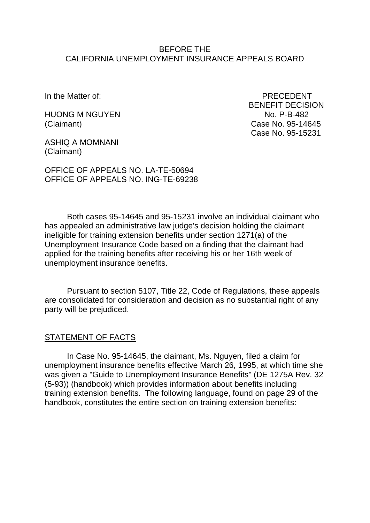#### BEFORE THE CALIFORNIA UNEMPLOYMENT INSURANCE APPEALS BOARD

HUONG M NGUYEN NO. P-B-482 (Claimant) Case No. 95-14645

In the Matter of: PRECEDENT BENEFIT DECISION Case No. 95-15231

ASHIQ A MOMNANI (Claimant)

OFFICE OF APPEALS NO. LA-TE-50694 OFFICE OF APPEALS NO. ING-TE-69238

Both cases 95-14645 and 95-15231 involve an individual claimant who has appealed an administrative law judge's decision holding the claimant ineligible for training extension benefits under section 1271(a) of the Unemployment Insurance Code based on a finding that the claimant had applied for the training benefits after receiving his or her 16th week of unemployment insurance benefits.

Pursuant to section 5107, Title 22, Code of Regulations, these appeals are consolidated for consideration and decision as no substantial right of any party will be prejudiced.

### STATEMENT OF FACTS

In Case No. 95-14645, the claimant, Ms. Nguyen, filed a claim for unemployment insurance benefits effective March 26, 1995, at which time she was given a "Guide to Unemployment Insurance Benefits" (DE 1275A Rev. 32 (5-93)) (handbook) which provides information about benefits including training extension benefits. The following language, found on page 29 of the handbook, constitutes the entire section on training extension benefits: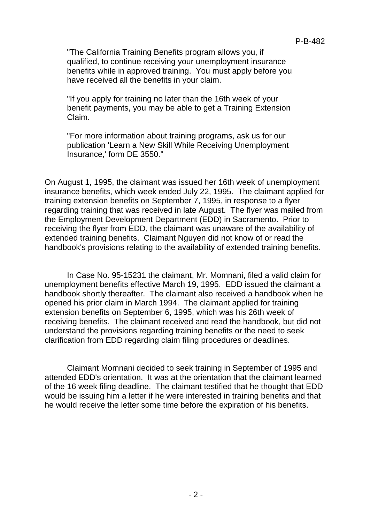"The California Training Benefits program allows you, if qualified, to continue receiving your unemployment insurance benefits while in approved training. You must apply before you have received all the benefits in your claim.

"If you apply for training no later than the 16th week of your benefit payments, you may be able to get a Training Extension Claim.

"For more information about training programs, ask us for our publication 'Learn a New Skill While Receiving Unemployment Insurance,' form DE 3550."

On August 1, 1995, the claimant was issued her 16th week of unemployment insurance benefits, which week ended July 22, 1995. The claimant applied for training extension benefits on September 7, 1995, in response to a flyer regarding training that was received in late August. The flyer was mailed from the Employment Development Department (EDD) in Sacramento. Prior to receiving the flyer from EDD, the claimant was unaware of the availability of extended training benefits. Claimant Nguyen did not know of or read the handbook's provisions relating to the availability of extended training benefits.

In Case No. 95-15231 the claimant, Mr. Momnani, filed a valid claim for unemployment benefits effective March 19, 1995. EDD issued the claimant a handbook shortly thereafter. The claimant also received a handbook when he opened his prior claim in March 1994. The claimant applied for training extension benefits on September 6, 1995, which was his 26th week of receiving benefits. The claimant received and read the handbook, but did not understand the provisions regarding training benefits or the need to seek clarification from EDD regarding claim filing procedures or deadlines.

Claimant Momnani decided to seek training in September of 1995 and attended EDD's orientation. It was at the orientation that the claimant learned of the 16 week filing deadline. The claimant testified that he thought that EDD would be issuing him a letter if he were interested in training benefits and that he would receive the letter some time before the expiration of his benefits.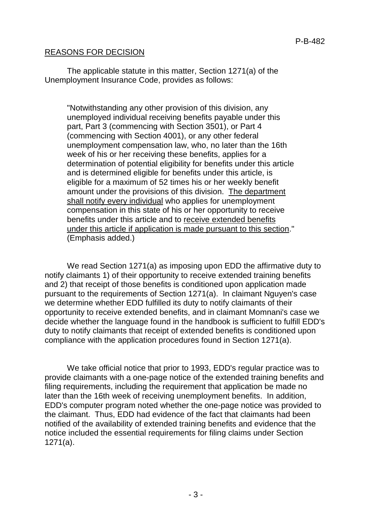### REASONS FOR DECISION

The applicable statute in this matter, Section 1271(a) of the Unemployment Insurance Code, provides as follows:

"Notwithstanding any other provision of this division, any unemployed individual receiving benefits payable under this part, Part 3 (commencing with Section 3501), or Part 4 (commencing with Section 4001), or any other federal unemployment compensation law, who, no later than the 16th week of his or her receiving these benefits, applies for a determination of potential eligibility for benefits under this article and is determined eligible for benefits under this article, is eligible for a maximum of 52 times his or her weekly benefit amount under the provisions of this division. The department shall notify every individual who applies for unemployment compensation in this state of his or her opportunity to receive benefits under this article and to receive extended benefits under this article if application is made pursuant to this section." (Emphasis added.)

We read Section 1271(a) as imposing upon EDD the affirmative duty to notify claimants 1) of their opportunity to receive extended training benefits and 2) that receipt of those benefits is conditioned upon application made pursuant to the requirements of Section 1271(a). In claimant Nguyen's case we determine whether EDD fulfilled its duty to notify claimants of their opportunity to receive extended benefits, and in claimant Momnani's case we decide whether the language found in the handbook is sufficient to fulfill EDD's duty to notify claimants that receipt of extended benefits is conditioned upon compliance with the application procedures found in Section 1271(a).

We take official notice that prior to 1993, EDD's regular practice was to provide claimants with a one-page notice of the extended training benefits and filing requirements, including the requirement that application be made no later than the 16th week of receiving unemployment benefits. In addition, EDD's computer program noted whether the one-page notice was provided to the claimant. Thus, EDD had evidence of the fact that claimants had been notified of the availability of extended training benefits and evidence that the notice included the essential requirements for filing claims under Section 1271(a).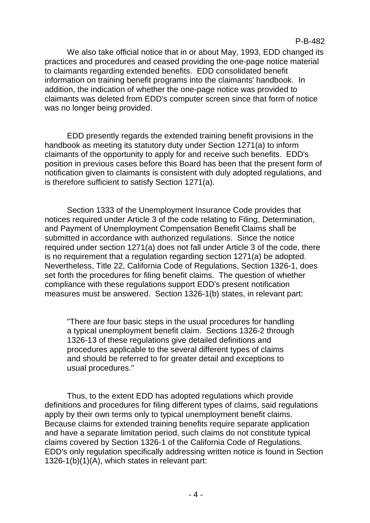We also take official notice that in or about May, 1993, EDD changed its practices and procedures and ceased providing the one-page notice material to claimants regarding extended benefits. EDD consolidated benefit information on training benefit programs into the claimants' handbook. In addition, the indication of whether the one-page notice was provided to claimants was deleted from EDD's computer screen since that form of notice was no longer being provided.

EDD presently regards the extended training benefit provisions in the handbook as meeting its statutory duty under Section 1271(a) to inform claimants of the opportunity to apply for and receive such benefits. EDD's position in previous cases before this Board has been that the present form of notification given to claimants is consistent with duly adopted regulations, and is therefore sufficient to satisfy Section 1271(a).

Section 1333 of the Unemployment Insurance Code provides that notices required under Article 3 of the code relating to Filing, Determination, and Payment of Unemployment Compensation Benefit Claims shall be submitted in accordance with authorized regulations. Since the notice required under section 1271(a) does not fall under Article 3 of the code, there is no requirement that a regulation regarding section 1271(a) be adopted. Nevertheless, Title 22, California Code of Regulations, Section 1326-1, does set forth the procedures for filing benefit claims. The question of whether compliance with these regulations support EDD's present notification measures must be answered. Section 1326-1(b) states, in relevant part:

"There are four basic steps in the usual procedures for handling a typical unemployment benefit claim. Sections 1326-2 through 1326-13 of these regulations give detailed definitions and procedures applicable to the several different types of claims and should be referred to for greater detail and exceptions to usual procedures."

Thus, to the extent EDD has adopted regulations which provide definitions and procedures for filing different types of claims, said regulations apply by their own terms only to typical unemployment benefit claims. Because claims for extended training benefits require separate application and have a separate limitation period, such claims do not constitute typical claims covered by Section 1326-1 of the California Code of Regulations. EDD's only regulation specifically addressing written notice is found in Section 1326-1(b)(1)(A), which states in relevant part: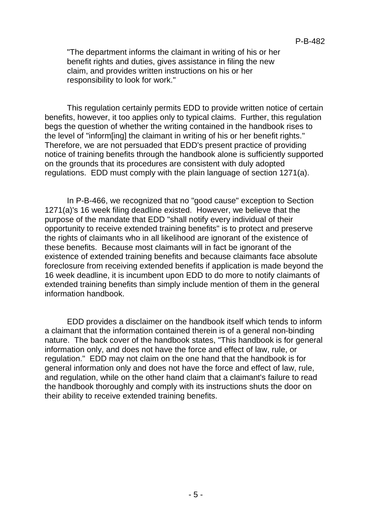"The department informs the claimant in writing of his or her benefit rights and duties, gives assistance in filing the new claim, and provides written instructions on his or her responsibility to look for work."

This regulation certainly permits EDD to provide written notice of certain benefits, however, it too applies only to typical claims. Further, this regulation begs the question of whether the writing contained in the handbook rises to the level of "inform[ing] the claimant in writing of his or her benefit rights." Therefore, we are not persuaded that EDD's present practice of providing notice of training benefits through the handbook alone is sufficiently supported on the grounds that its procedures are consistent with duly adopted regulations. EDD must comply with the plain language of section 1271(a).

In P-B-466, we recognized that no "good cause" exception to Section 1271(a)'s 16 week filing deadline existed. However, we believe that the purpose of the mandate that EDD "shall notify every individual of their opportunity to receive extended training benefits" is to protect and preserve the rights of claimants who in all likelihood are ignorant of the existence of these benefits. Because most claimants will in fact be ignorant of the existence of extended training benefits and because claimants face absolute foreclosure from receiving extended benefits if application is made beyond the 16 week deadline, it is incumbent upon EDD to do more to notify claimants of extended training benefits than simply include mention of them in the general information handbook.

EDD provides a disclaimer on the handbook itself which tends to inform a claimant that the information contained therein is of a general non-binding nature. The back cover of the handbook states, "This handbook is for general information only, and does not have the force and effect of law, rule, or regulation." EDD may not claim on the one hand that the handbook is for general information only and does not have the force and effect of law, rule, and regulation, while on the other hand claim that a claimant's failure to read the handbook thoroughly and comply with its instructions shuts the door on their ability to receive extended training benefits.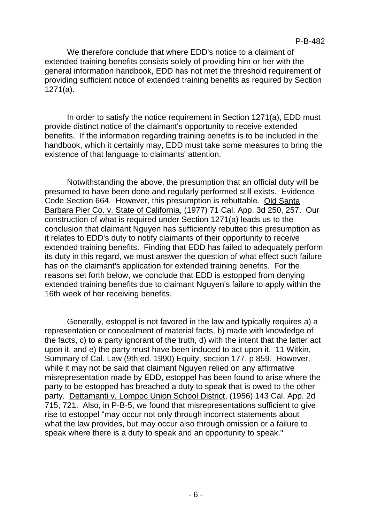We therefore conclude that where EDD's notice to a claimant of extended training benefits consists solely of providing him or her with the general information handbook, EDD has not met the threshold requirement of providing sufficient notice of extended training benefits as required by Section 1271(a).

In order to satisfy the notice requirement in Section 1271(a), EDD must provide distinct notice of the claimant's opportunity to receive extended benefits. If the information regarding training benefits is to be included in the handbook, which it certainly may, EDD must take some measures to bring the existence of that language to claimants' attention.

Notwithstanding the above, the presumption that an official duty will be presumed to have been done and regularly performed still exists. Evidence Code Section 664. However, this presumption is rebuttable. Old Santa Barbara Pier Co. v. State of California, (1977) 71 Cal. App. 3d 250, 257. Our construction of what is required under Section 1271(a) leads us to the conclusion that claimant Nguyen has sufficiently rebutted this presumption as it relates to EDD's duty to notify claimants of their opportunity to receive extended training benefits. Finding that EDD has failed to adequately perform its duty in this regard, we must answer the question of what effect such failure has on the claimant's application for extended training benefits. For the reasons set forth below, we conclude that EDD is estopped from denying extended training benefits due to claimant Nguyen's failure to apply within the 16th week of her receiving benefits.

Generally, estoppel is not favored in the law and typically requires a) a representation or concealment of material facts, b) made with knowledge of the facts, c) to a party ignorant of the truth, d) with the intent that the latter act upon it, and e) the party must have been induced to act upon it. 11 Witkin, Summary of Cal. Law (9th ed. 1990) Equity, section 177, p 859. However, while it may not be said that claimant Nguyen relied on any affirmative misrepresentation made by EDD, estoppel has been found to arise where the party to be estopped has breached a duty to speak that is owed to the other party. Dettamanti v. Lompoc Union School District, (1956) 143 Cal. App. 2d 715, 721. Also, in P-B-5, we found that misrepresentations sufficient to give rise to estoppel "may occur not only through incorrect statements about what the law provides, but may occur also through omission or a failure to speak where there is a duty to speak and an opportunity to speak."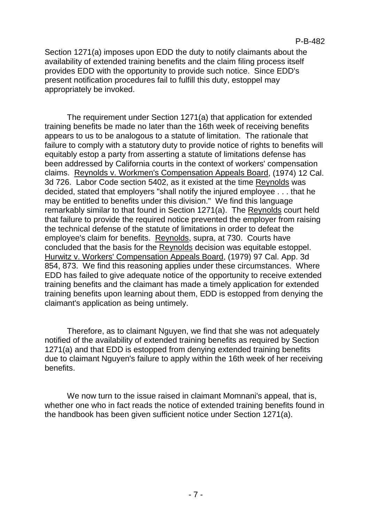Section 1271(a) imposes upon EDD the duty to notify claimants about the availability of extended training benefits and the claim filing process itself provides EDD with the opportunity to provide such notice. Since EDD's present notification procedures fail to fulfill this duty, estoppel may appropriately be invoked.

The requirement under Section 1271(a) that application for extended training benefits be made no later than the 16th week of receiving benefits appears to us to be analogous to a statute of limitation. The rationale that failure to comply with a statutory duty to provide notice of rights to benefits will equitably estop a party from asserting a statute of limitations defense has been addressed by California courts in the context of workers' compensation claims. Reynolds v. Workmen's Compensation Appeals Board, (1974) 12 Cal. 3d 726. Labor Code section 5402, as it existed at the time Reynolds was decided, stated that employers "shall notify the injured employee . . . that he may be entitled to benefits under this division." We find this language remarkably similar to that found in Section 1271(a). The Reynolds court held that failure to provide the required notice prevented the employer from raising the technical defense of the statute of limitations in order to defeat the employee's claim for benefits. Reynolds, supra, at 730. Courts have concluded that the basis for the Reynolds decision was equitable estoppel. Hurwitz v. Workers' Compensation Appeals Board, (1979) 97 Cal. App. 3d 854, 873. We find this reasoning applies under these circumstances. Where EDD has failed to give adequate notice of the opportunity to receive extended training benefits and the claimant has made a timely application for extended training benefits upon learning about them, EDD is estopped from denying the claimant's application as being untimely.

Therefore, as to claimant Nguyen, we find that she was not adequately notified of the availability of extended training benefits as required by Section 1271(a) and that EDD is estopped from denying extended training benefits due to claimant Nguyen's failure to apply within the 16th week of her receiving benefits.

We now turn to the issue raised in claimant Momnani's appeal, that is, whether one who in fact reads the notice of extended training benefits found in the handbook has been given sufficient notice under Section 1271(a).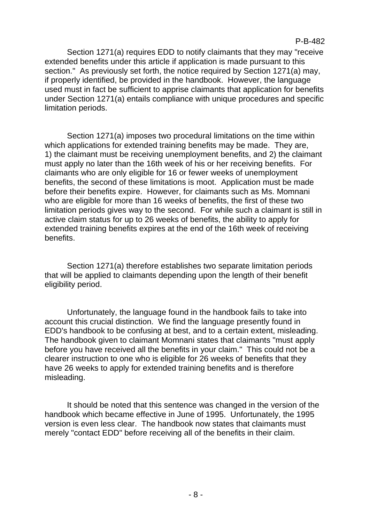P-B-482

Section 1271(a) requires EDD to notify claimants that they may "receive extended benefits under this article if application is made pursuant to this section." As previously set forth, the notice required by Section 1271(a) may, if properly identified, be provided in the handbook. However, the language used must in fact be sufficient to apprise claimants that application for benefits under Section 1271(a) entails compliance with unique procedures and specific limitation periods.

Section 1271(a) imposes two procedural limitations on the time within which applications for extended training benefits may be made. They are, 1) the claimant must be receiving unemployment benefits, and 2) the claimant must apply no later than the 16th week of his or her receiving benefits. For claimants who are only eligible for 16 or fewer weeks of unemployment benefits, the second of these limitations is moot. Application must be made before their benefits expire. However, for claimants such as Ms. Momnani who are eligible for more than 16 weeks of benefits, the first of these two limitation periods gives way to the second. For while such a claimant is still in active claim status for up to 26 weeks of benefits, the ability to apply for extended training benefits expires at the end of the 16th week of receiving benefits.

Section 1271(a) therefore establishes two separate limitation periods that will be applied to claimants depending upon the length of their benefit eligibility period.

Unfortunately, the language found in the handbook fails to take into account this crucial distinction. We find the language presently found in EDD's handbook to be confusing at best, and to a certain extent, misleading. The handbook given to claimant Momnani states that claimants "must apply before you have received all the benefits in your claim." This could not be a clearer instruction to one who is eligible for 26 weeks of benefits that they have 26 weeks to apply for extended training benefits and is therefore misleading.

It should be noted that this sentence was changed in the version of the handbook which became effective in June of 1995. Unfortunately, the 1995 version is even less clear. The handbook now states that claimants must merely "contact EDD" before receiving all of the benefits in their claim.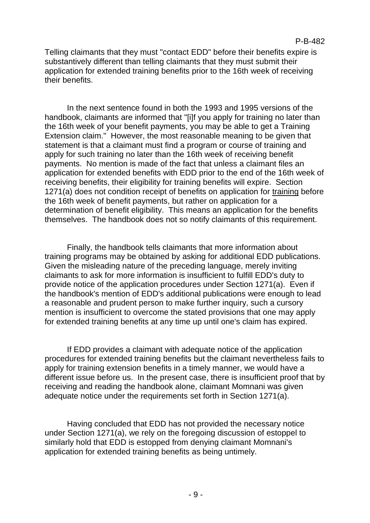Telling claimants that they must "contact EDD" before their benefits expire is substantively different than telling claimants that they must submit their application for extended training benefits prior to the 16th week of receiving their benefits.

In the next sentence found in both the 1993 and 1995 versions of the handbook, claimants are informed that "[i]f you apply for training no later than the 16th week of your benefit payments, you may be able to get a Training Extension claim." However, the most reasonable meaning to be given that statement is that a claimant must find a program or course of training and apply for such training no later than the 16th week of receiving benefit payments. No mention is made of the fact that unless a claimant files an application for extended benefits with EDD prior to the end of the 16th week of receiving benefits, their eligibility for training benefits will expire. Section 1271(a) does not condition receipt of benefits on application for training before the 16th week of benefit payments, but rather on application for a determination of benefit eligibility. This means an application for the benefits themselves. The handbook does not so notify claimants of this requirement.

Finally, the handbook tells claimants that more information about training programs may be obtained by asking for additional EDD publications. Given the misleading nature of the preceding language, merely inviting claimants to ask for more information is insufficient to fulfill EDD's duty to provide notice of the application procedures under Section 1271(a). Even if the handbook's mention of EDD's additional publications were enough to lead a reasonable and prudent person to make further inquiry, such a cursory mention is insufficient to overcome the stated provisions that one may apply for extended training benefits at any time up until one's claim has expired.

If EDD provides a claimant with adequate notice of the application procedures for extended training benefits but the claimant nevertheless fails to apply for training extension benefits in a timely manner, we would have a different issue before us. In the present case, there is insufficient proof that by receiving and reading the handbook alone, claimant Momnani was given adequate notice under the requirements set forth in Section 1271(a).

Having concluded that EDD has not provided the necessary notice under Section 1271(a), we rely on the foregoing discussion of estoppel to similarly hold that EDD is estopped from denying claimant Momnani's application for extended training benefits as being untimely.